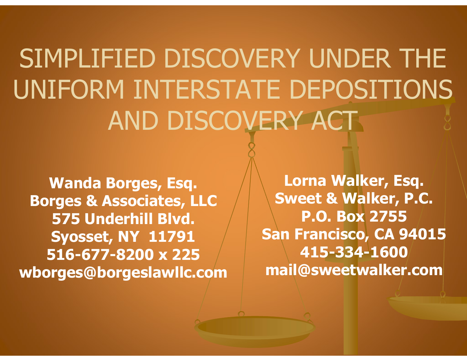SIMPLIFIED DISCOVERY UNDER THE UNIFORM INTERSTATE DEPOSITIONS AND DISCOVERY ACT

Wanda Borges, Esq. Borges & Associates, LLC 575 Underhill Blvd. Syosset, NY 11791 516-677-8200 x 225 wborges@borgeslawllc.com

Lorna Walker, Esq. Sweet & Walker, P.C. P.O. Box 2755 San Francisco, CA 94015 415-334-1600 mail@sweetwalker.com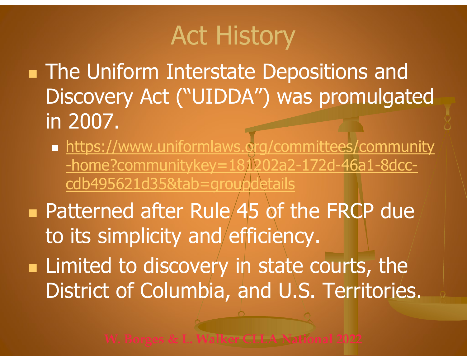# Act History

**The Uniform Interstate Depositions and** Discovery Act ("UIDDA") was promulgated in 2007. ■ The Uniform Interstate Depositions and<br>Discovery Act ("UIDDA") was promulgated<br>in 2007.<br>■ https://www.uniformlaws.org/committees/community<br>-home?communitykey=181202a2-172d-46a1-8dcc-<br>cdb495621d35&tab=groupdetails<br>■ Patt

- **https://www.uniformlaws.org/committees/community** -home?communitykey=181202a2-172d-46a1-8dcccdb495621d35&tab=groupdetails
- to its simplicity and efficiency.
- **Example 1** Limited to discovery in state courts, the District of Columbia, and U.S. Territories.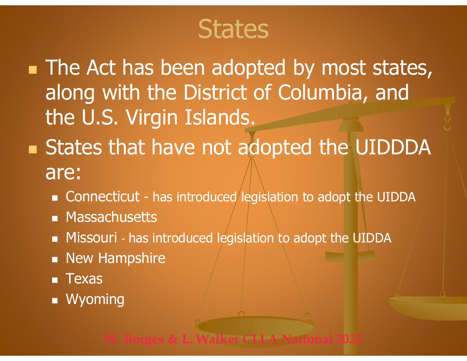## **States**

• The Act has been adopted by most states, along with the District of Columbia, and the U.S. Virgin Islands. The Act has been adopted by most states,<br>along with the District of Columbia, and<br>the U.S. Virgin Islands.<br>States that have not adopted the UIDDDA<br>are:<br>- Connecticut - has introduced legislation to adopt the UIDDA<br>- Massac

- **States that have not adopted the UIDDDA** are:
	-
	- **Massachusetts**
	- **Missouri** has introduced legislation to adopt the UIDDA
	- **New Hampshire**
	- **Texas**
	- **Nyoming**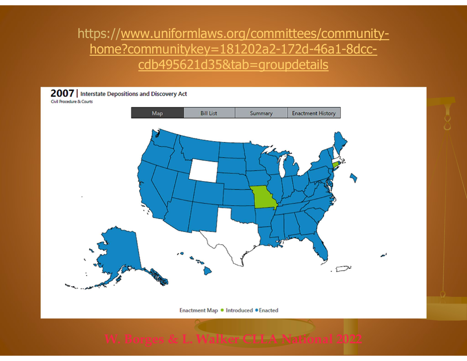#### https://www.uniformlaws.org/committees/communityhome?communitykey=181202a2-172d-46a1-8dcccdb495621d35&tab=groupdetails

2007 | Interstate Depositions and Discovery Act

**Civil Procedure & Courts** 



Enactment Map . Introduced . Enacted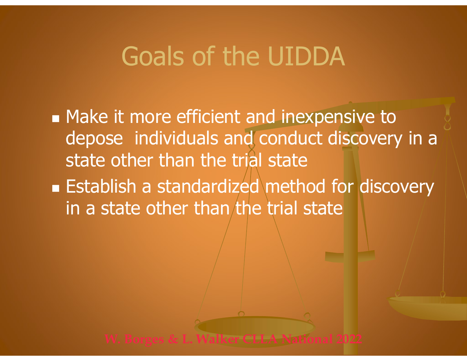## Goals of the UIDDA

- **Make it more efficient and inexpensive to** depose individuals and conduct discovery in a state other than the trial state
- **Establish a standardized method for discovery** in a state other than the trial state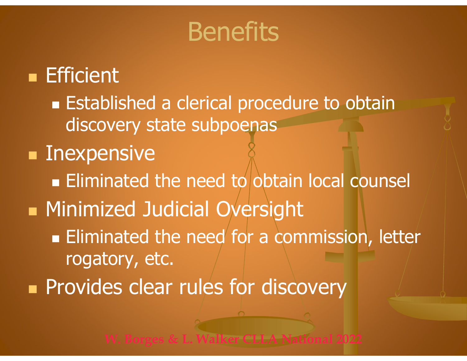### **Benefits**

#### **Efficient**

**Established a clerical procedure to obtain** discovery state subpoenas

#### **Inexpensive**

- $\blacksquare$  Eliminated the need to obtain local counsel
- **Minimized Judicial Oversight** 
	- **Eliminated the need for a commission, letter** rogatory, etc.
- **Provides clear rules for discovery**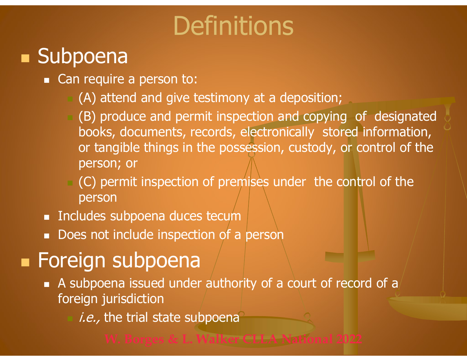# **Definitions**

#### **Subpoena**

- Can require a person to:
	- (A) attend and give testimony at a deposition;
- (B) produce and permit inspection and copying of designated books, documents, records, electronically stored information, or tangible things in the possession, custody, or control of the person; or ■ Can require a person to:<br>
■ Can require a person to:<br>
(B) produce and permit inspection and copying of designooks, documents, records, electronically stored inform<br>
or tangible things in the possession, custody, or cont
	- (C) permit inspection of premises under the control of the person
- 
- Does not include inspection of a person

#### **Foreign subpoena**

- A subpoena issued under authority of a court of record of a foreign jurisdiction
	- i.e., the trial state subpoena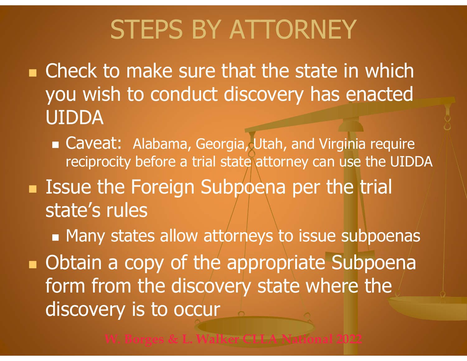# STEPS BY ATTORNEY

**n** Check to make sure that the state in which you wish to conduct discovery has enacted UIDDA

■ Caveat: Alabama, Georgia, Utah, and Virginia require reciprocity before a trial state attorney can use the UIDDA

**Issue the Foreign Subpoena per the trial** state's rules

**Many states allow attorneys to issue subpoenas** 

**• Obtain a copy of the appropriate Subpoena** form from the discovery state where the discovery is to occur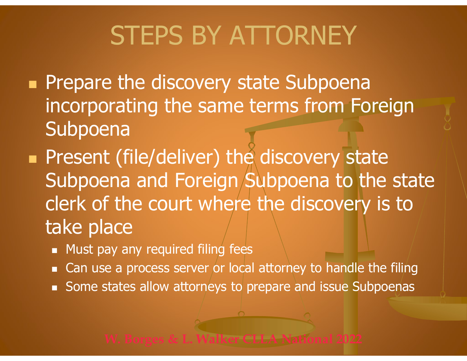# STEPS BY ATTORNEY

- **Prepare the discovery state Subpoena** incorporating the same terms from Foreign Subpoena
- **Present (file/deliver) the discovery state** Subpoena and Foreign Subpoena to the state clerk of the court where the discovery is to take place
	- **Must pay any required filing fees**
	- Can use a process server or local attorney to handle the filing
	- Some states allow attorneys to prepare and issue Subpoenas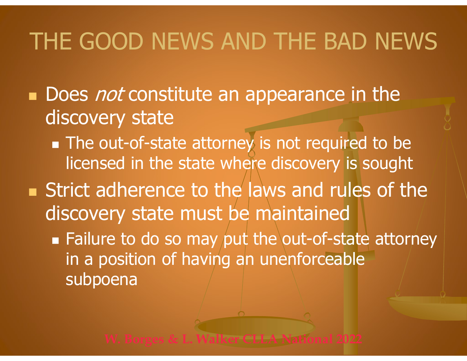### THE GOOD NEWS AND THE BAD NEWS

- Does not constitute an appearance in the discovery state
	- **The out-of-state attorney is not required to be** licensed in the state where discovery is sought
- **Strict adherence to the laws and rules of the** discovery state must be maintained
	- **Failure to do so may put the out-of-state attorney** in a position of having an unenforceable subpoena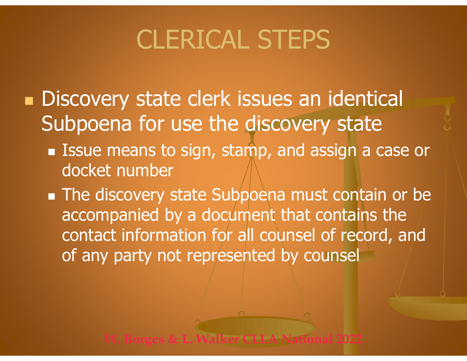# CLERICAL STEPS

- **Discovery state clerk issues an identical** Subpoena for use the discovery state
	- Issue means to sign, stamp, and assign a case or docket number
	- **The discovery state Subpoena must contain or be** accompanied by a document that contains the contact information for all counsel of record, and of any party not represented by counsel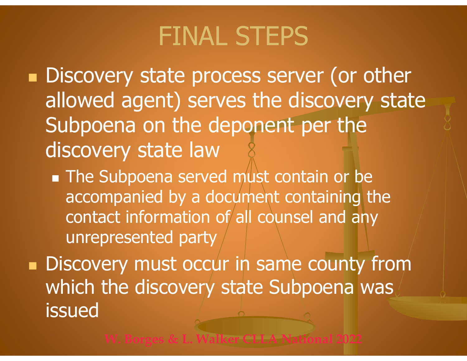## FINAL STEPS

**Discovery state process server (or other** allowed agent) serves the discovery state Subpoena on the deponent per the discovery state law

**The Subpoena served must contain or be** accompanied by a document containing the contact information of all counsel and any unrepresented party

**Discovery must occur in same county from** which the discovery state Subpoena was issued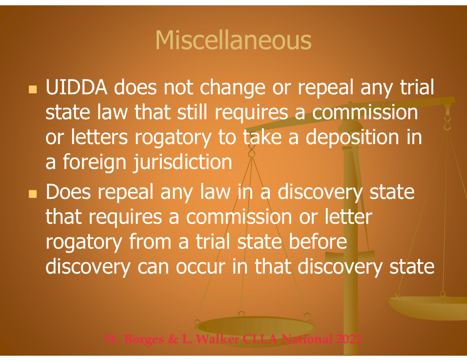## Miscellaneous

Miscellaneous<br>
• UIDDA does not change or repeal any trial<br>
state law that still requires a commission state law that still requires a commission Miscellaneous<br>
UIDDA does not change or repeal any trial<br>
state law that still requires a commission<br>
or letters rogatory to take a deposition in<br>
a foreign jurisdiction a foreign jurisdiction

Does repeal any law in a discovery state that requires a commission or letter on the alternative of repearany control.<br>
State law that still requires a commissio<br>
or letters rogatory to take a deposition<br>
a foreign jurisdiction<br>
Does repeal any law in a discovery state<br>
that requires a commission or discovery can occur in that discovery state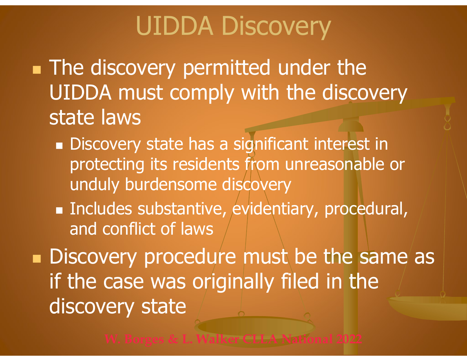# UIDDA Discovery<br>Very permitted under the

**The discovery permitted under the** UIDDA Discovery<br>The discovery permitted under the<br>UIDDA must comply with the discovery state laws

- Discovery state has a significant interest in protecting its residents from unreasonable or unduly burdensome discovery
- Includes substantive, evidentiary, procedural, and conflict of laws

Discovery procedure must be the same as if the case was originally filed in the discovery state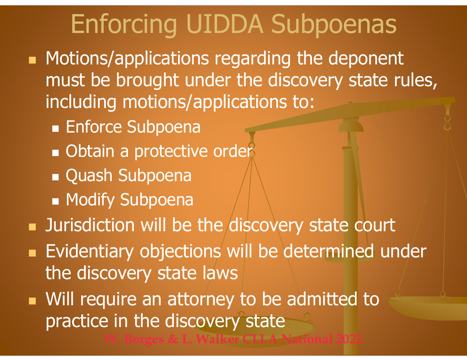# Enforcing UIDDA Subpoenas

- **Motions/applications regarding the deponent** must be brought under the discovery state rules, including motions/applications to:
	- **Enforce Subpoena**
	- **Obtain a protective order**
	- **Quash Subpoena**
	- **Modify Subpoena**
- **Jurisdiction will be the discovery state court**
- **Evidentiary objections will be determined under** the discovery state laws
- **Nill require an attorney to be admitted to** practice in the discovery state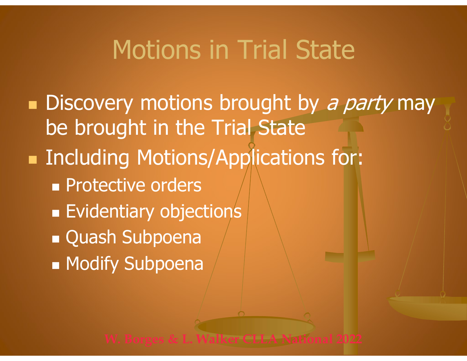### Motions in Trial State

**Discovery motions brought by a party may** be brought in the Trial State ■ Including Motions/Applications for: **Protective orders Evidentiary objections Quash Subpoena Modify Subpoena**